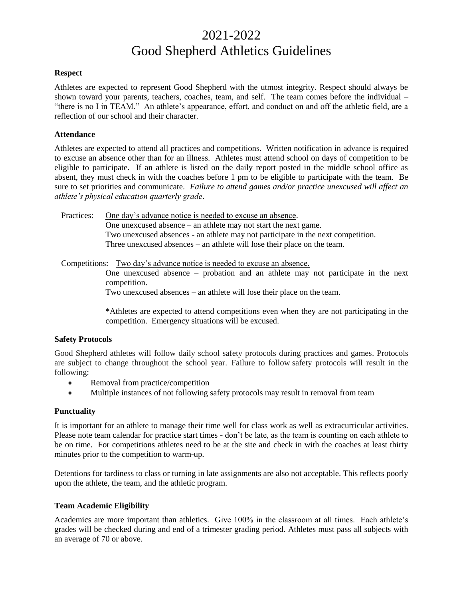# 2021-2022 Good Shepherd Athletics Guidelines

#### **Respect**

Athletes are expected to represent Good Shepherd with the utmost integrity. Respect should always be shown toward your parents, teachers, coaches, team, and self. The team comes before the individual – "there is no I in TEAM." An athlete's appearance, effort, and conduct on and off the athletic field, are a reflection of our school and their character.

#### **Attendance**

Athletes are expected to attend all practices and competitions. Written notification in advance is required to excuse an absence other than for an illness. Athletes must attend school on days of competition to be eligible to participate. If an athlete is listed on the daily report posted in the middle school office as absent, they must check in with the coaches before 1 pm to be eligible to participate with the team. Be sure to set priorities and communicate. *Failure to attend games and/or practice unexcused will affect an athlete's physical education quarterly grade*.

Practices: One day's advance notice is needed to excuse an absence. One unexcused absence – an athlete may not start the next game. Two unexcused absences - an athlete may not participate in the next competition. Three unexcused absences – an athlete will lose their place on the team.

Competitions: Two day's advance notice is needed to excuse an absence.

One unexcused absence – probation and an athlete may not participate in the next competition.

Two unexcused absences – an athlete will lose their place on the team.

\*Athletes are expected to attend competitions even when they are not participating in the competition. Emergency situations will be excused.

## **Safety Protocols**

Good Shepherd athletes will follow daily school safety protocols during practices and games. Protocols are subject to change throughout the school year. Failure to follow safety protocols will result in the following:

- Removal from practice/competition
- Multiple instances of not following safety protocols may result in removal from team

## **Punctuality**

It is important for an athlete to manage their time well for class work as well as extracurricular activities. Please note team calendar for practice start times - don't be late, as the team is counting on each athlete to be on time. For competitions athletes need to be at the site and check in with the coaches at least thirty minutes prior to the competition to warm-up.

Detentions for tardiness to class or turning in late assignments are also not acceptable. This reflects poorly upon the athlete, the team, and the athletic program.

# **Team Academic Eligibility**

Academics are more important than athletics. Give 100% in the classroom at all times. Each athlete's grades will be checked during and end of a trimester grading period. Athletes must pass all subjects with an average of 70 or above.